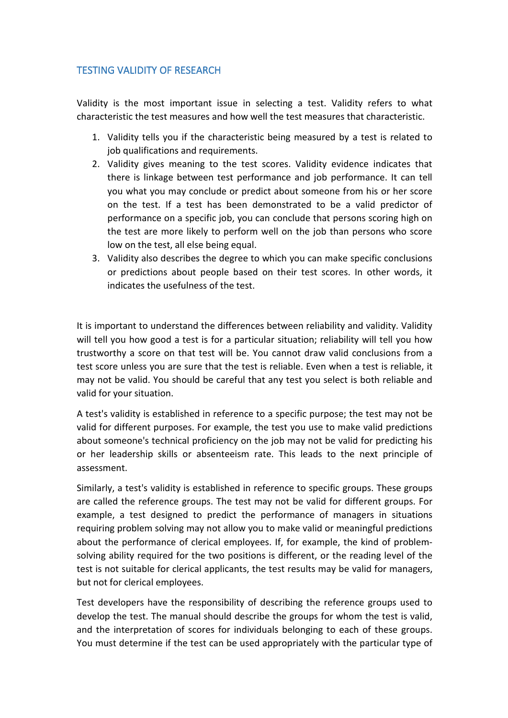## TESTING VALIDITY OF RESEARCH

Validity is the most important issue in selecting a test. Validity refers to what characteristic the test measures and how well the test measures that characteristic.

- 1. Validity tells you if the characteristic being measured by a test is related to job qualifications and requirements.
- 2. Validity gives meaning to the test scores. Validity evidence indicates that there is linkage between test performance and job performance. It can tell you what you may conclude or predict about someone from his or her score on the test. If a test has been demonstrated to be a valid predictor of performance on a specific job, you can conclude that persons scoring high on the test are more likely to perform well on the job than persons who score low on the test, all else being equal.
- 3. Validity also describes the degree to which you can make specific conclusions or predictions about people based on their test scores. In other words, it indicates the usefulness of the test.

It is important to understand the differences between reliability and validity. Validity will tell you how good a test is for a particular situation; reliability will tell you how trustworthy a score on that test will be. You cannot draw valid conclusions from a test score unless you are sure that the test is reliable. Even when a test is reliable, it may not be valid. You should be careful that any test you select is both reliable and valid for your situation.

A test's validity is established in reference to a specific purpose; the test may not be valid for different purposes. For example, the test you use to make valid predictions about someone's technical proficiency on the job may not be valid for predicting his or her leadership skills or absenteeism rate. This leads to the next principle of assessment.

Similarly, a test's validity is established in reference to specific groups. These groups are called the reference groups. The test may not be valid for different groups. For example, a test designed to predict the performance of managers in situations requiring problem solving may not allow you to make valid or meaningful predictions about the performance of clerical employees. If, for example, the kind of problem solving ability required for the two positions is different, or the reading level of the test is not suitable for clerical applicants, the test results may be valid for managers, but not for clerical employees.

Test developers have the responsibility of describing the reference groups used to develop the test. The manual should describe the groups for whom the test is valid, and the interpretation of scores for individuals belonging to each of these groups. You must determine if the test can be used appropriately with the particular type of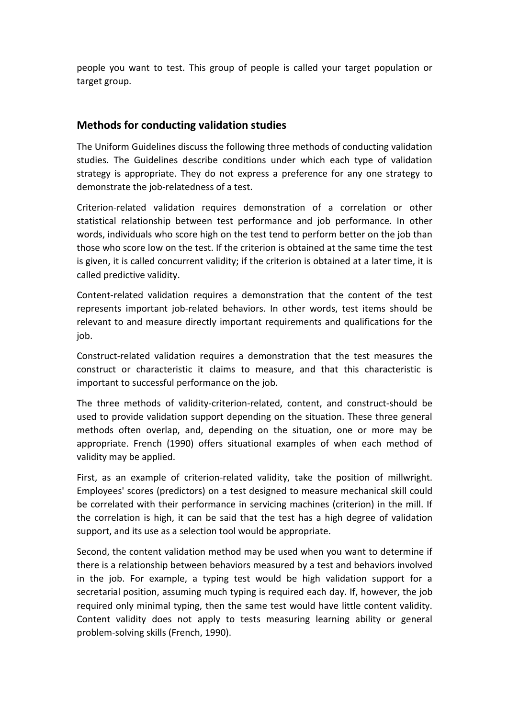people you want to test. This group of people is called your target population or target group.

## **Methods for conducting validation studies**

The Uniform Guidelines discuss the following three methods of conducting validation studies. The Guidelines describe conditions under which each type of validation strategy is appropriate. They do not express a preference for any one strategy to demonstrate the job-relatedness of a test.

Criterion-related validation requires demonstration of a correlation or other statistical relationship between test performance and job performance. In other words, individuals who score high on the test tend to perform better on the job than those who score low on the test. If the criterion is obtained at the same time the test is given, it is called concurrent validity; if the criterion is obtained at a later time, it is called predictive validity.

Content-related validation requires a demonstration that the content of the test represents important job-related behaviors. In other words, test items should be relevant to and measure directly important requirements and qualifications for the job.

Construct-related validation requires a demonstration that the test measures the construct or characteristic it claims to measure, and that this characteristic is important to successful performance on the job.

The three methods of validity-criterion-related, content, and construct-should be used to provide validation support depending on the situation. These three general methods often overlap, and, depending on the situation, one or more may be appropriate. French (1990) offers situational examples of when each method of validity may be applied.

First, as an example of criterion-related validity, take the position of millwright. Employees' scores (predictors) on a test designed to measure mechanical skill could be correlated with their performance in servicing machines (criterion) in the mill. If the correlation is high, it can be said that the test has a high degree of validation support, and its use as a selection tool would be appropriate.

Second, the content validation method may be used when you want to determine if there is a relationship between behaviors measured by a test and behaviors involved in the job. For example, a typing test would be high validation support for a secretarial position, assuming much typing is required each day. If, however, the job required only minimal typing, then the same test would have little content validity. Content validity does not apply to tests measuring learning ability or general problem-solving skills (French, 1990).